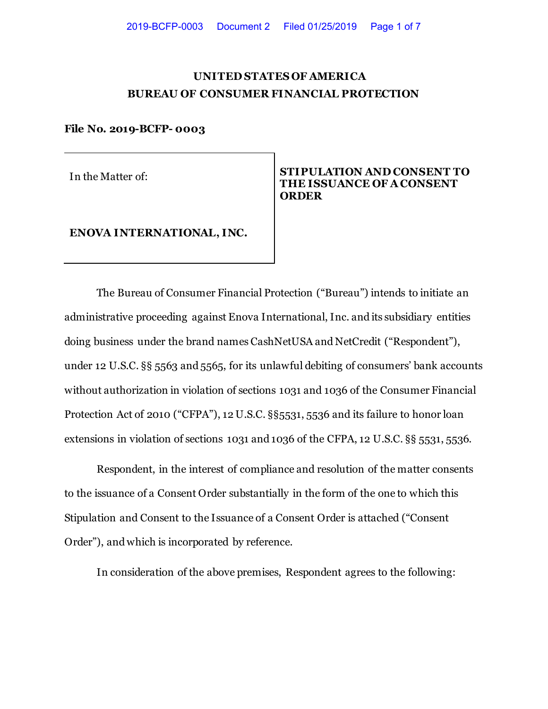# **UNITED STATES OF AMERICA BUREAU OF CONSUMER FINANCIAL PROTECTION**

#### **File No. 2019-BCFP- 0003**

## In the Matter of: **STIPULATION AND CONSENT TO THE ISSUANCE OF A CONSENT ORDER**

# **ENOVA INTERNATIONAL, INC.**

The Bureau of Consumer Financial Protection ("Bureau") intends to initiate an administrative proceeding against Enova International, Inc. and its subsidiary entities doing business under the brand names CashNetUSA and NetCredit ("Respondent"), under 12 U.S.C. §§ 5563 and 5565, for its unlawful debiting of consumers' bank accounts without authorization in violation of sections 1031 and 1036 of the Consumer Financial Protection Act of 2010 ("CFPA"), 12 U.S.C. §§5531, 5536 and its failure to honor loan extensions in violation of sections 1031 and 1036 of the CFPA, 12 U.S.C. §§ 5531, 5536.

Respondent, in the interest of compliance and resolution of the matter consents to the issuance of a Consent Order substantially in the form of the one to which this Stipulation and Consent to the Issuance of a Consent Order is attached ("Consent Order"), and which is incorporated by reference.

In consideration of the above premises, Respondent agrees to the following: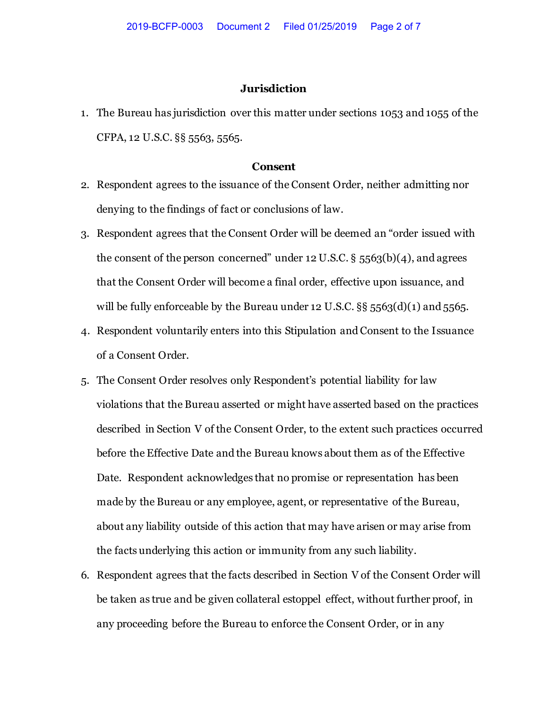## **Jurisdiction**

1. The Bureau has jurisdiction over this matter under sections 1053 and 1055 of the CFPA, 12 U.S.C. §§ 5563, 5565.

#### **Consent**

- 2. Respondent agrees to the issuance of the Consent Order, neither admitting nor denying to the findings of fact or conclusions of law.
- 3. Respondent agrees that the Consent Order will be deemed an "order issued with the consent of the person concerned" under 12 U.S.C.  $\S$  5563(b)(4), and agrees that the Consent Order will become a final order, effective upon issuance, and will be fully enforceable by the Bureau under 12 U.S.C.  $\S$ § 5563(d)(1) and 5565.
- 4. Respondent voluntarily enters into this Stipulation and Consent to the Issuance of a Consent Order.
- 5. The Consent Order resolves only Respondent's potential liability for law violations that the Bureau asserted or might have asserted based on the practices described in Section V of the Consent Order, to the extent such practices occurred before the Effective Date and the Bureau knows about them as of the Effective Date. Respondent acknowledges that no promise or representation has been made by the Bureau or any employee, agent, or representative of the Bureau, about any liability outside of this action that may have arisen or may arise from the facts underlying this action or immunity from any such liability.
- 6. Respondent agrees that the facts described in Section V of the Consent Order will be taken as true and be given collateral estoppel effect, without further proof, in any proceeding before the Bureau to enforce the Consent Order, or in any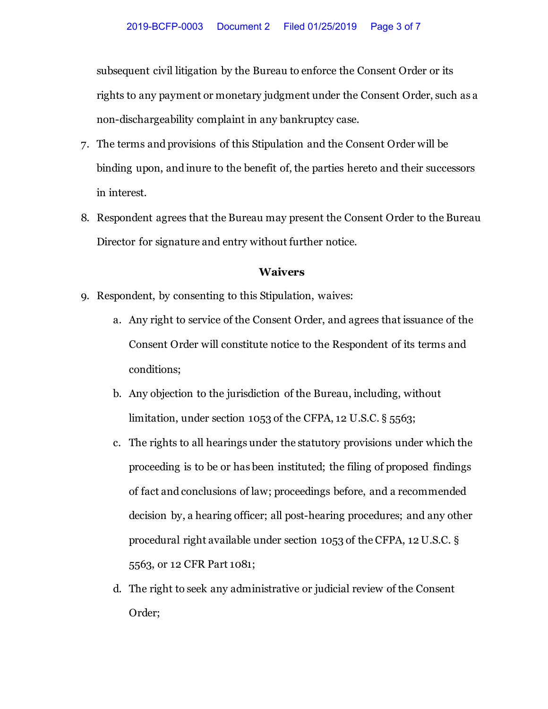subsequent civil litigation by the Bureau to enforce the Consent Order or its rights to any payment or monetary judgment under the Consent Order, such as a non-dischargeability complaint in any bankruptcy case.

- 7. The terms and provisions of this Stipulation and the Consent Order will be binding upon, and inure to the benefit of, the parties hereto and their successors in interest.
- 8. Respondent agrees that the Bureau may present the Consent Order to the Bureau Director for signature and entry without further notice.

## **Waivers**

- 9. Respondent, by consenting to this Stipulation, waives:
	- a. Any right to service of the Consent Order, and agrees that issuance of the Consent Order will constitute notice to the Respondent of its terms and conditions;
	- b. Any objection to the jurisdiction of the Bureau, including, without limitation, under section 1053 of the CFPA, 12 U.S.C. § 5563;
	- c. The rights to all hearings under the statutory provisions under which the proceeding is to be or has been instituted; the filing of proposed findings of fact and conclusions of law; proceedings before, and a recommended decision by, a hearing officer; all post-hearing procedures; and any other procedural right available under section 1053 of the CFPA, 12 U.S.C. § 5563, or 12 CFR Part 1081;
	- d. The right to seek any administrative or judicial review of the Consent Order;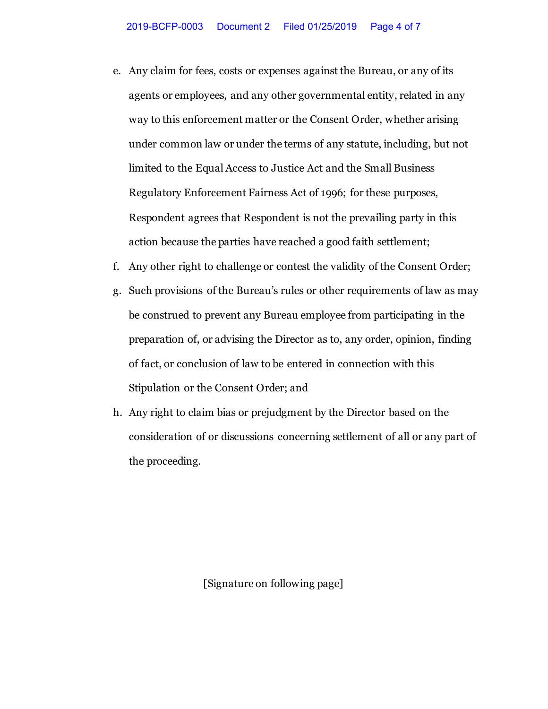- e. Any claim for fees, costs or expenses against the Bureau, or any of its agents or employees, and any other governmental entity, related in any way to this enforcement matter or the Consent Order, whether arising under common law or under the terms of any statute, including, but not limited to the Equal Access to Justice Act and the Small Business Regulatory Enforcement Fairness Act of 1996; for these purposes, Respondent agrees that Respondent is not the prevailing party in this action because the parties have reached a good faith settlement;
- f. Any other right to challenge or contest the validity of the Consent Order;
- g. Such provisions of the Bureau's rules or other requirements of law as may be construed to prevent any Bureau employee from participating in the preparation of, or advising the Director as to, any order, opinion, finding of fact, or conclusion of law to be entered in connection with this Stipulation or the Consent Order; and
- h. Any right to claim bias or prejudgment by the Director based on the consideration of or discussions concerning settlement of all or any part of the proceeding.

[Signature on following page]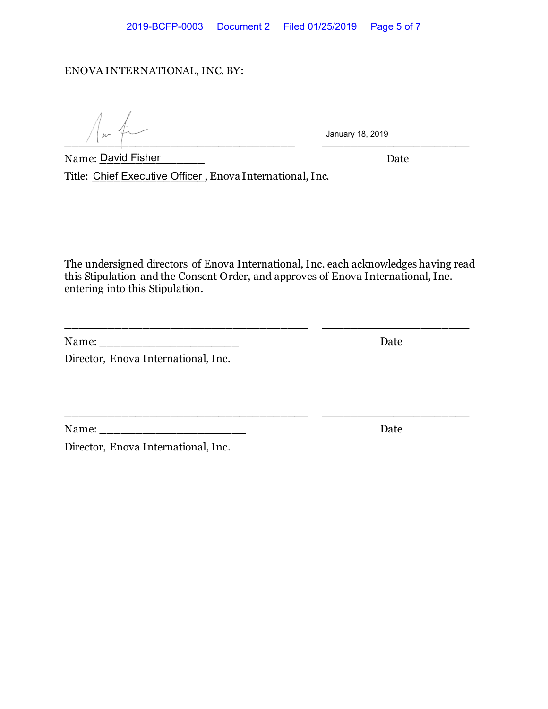## ENOVA INTERNATIONAL, INC. BY:

 $\frac{1}{2}$  ,  $\frac{1}{2}$  ,  $\frac{1}{2}$  ,  $\frac{1}{2}$  ,  $\frac{1}{2}$  ,  $\frac{1}{2}$  ,  $\frac{1}{2}$  ,  $\frac{1}{2}$  ,  $\frac{1}{2}$  ,  $\frac{1}{2}$  ,  $\frac{1}{2}$  ,  $\frac{1}{2}$  ,  $\frac{1}{2}$  ,  $\frac{1}{2}$  ,  $\frac{1}{2}$  ,  $\frac{1}{2}$  ,  $\frac{1}{2}$  ,  $\frac{1}{2}$  ,  $\frac{1$ 

January 18, 2019

Name: \_\_\_\_\_\_\_\_\_\_\_\_\_\_\_ Date David Fisher Title: <u>Chief Executive Officer ,</u> Enova International, Inc.

The undersigned directors of Enova International, Inc. each acknowledges having read this Stipulation and the Consent Order, and approves of Enova International, Inc. entering into this Stipulation.

\_\_\_\_\_\_\_\_\_\_\_\_\_\_\_\_\_\_\_\_\_\_\_\_\_\_\_\_\_\_\_\_\_\_\_ \_\_\_\_\_\_\_\_\_\_\_\_\_\_\_\_\_\_\_\_\_

\_\_\_\_\_\_\_\_\_\_\_\_\_\_\_\_\_\_\_\_\_\_\_\_\_\_\_\_\_\_\_\_\_\_\_ \_\_\_\_\_\_\_\_\_\_\_\_\_\_\_\_\_\_\_\_\_

| Name: | <b>Date</b> |
|-------|-------------|
|       |             |

Director, Enova International, Inc.

Name: \_\_\_\_\_\_\_\_\_\_\_\_\_\_\_\_\_\_\_\_\_ Date

Director, Enova International, Inc.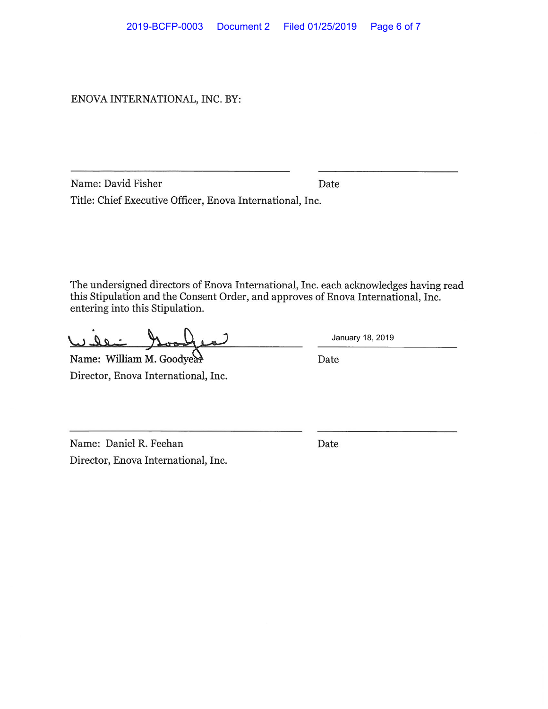ENOVAINTERNATIONAL, INC. BY:

Name: David Fisher Date Title: Chief Executive Officer, Enova International, Inc.

The undersigned directors of Enova International, Inc. each acknowledges having read this Stipulation and the Consent Order, and approves of Enova International, Inc. entering into this Stipulation.

a Q

Name: William M. Goodyear Director, Enova International, Inc. January 18, 2019

Date

Name: Daniel R. Feehan Director, Enova International, Inc. Date